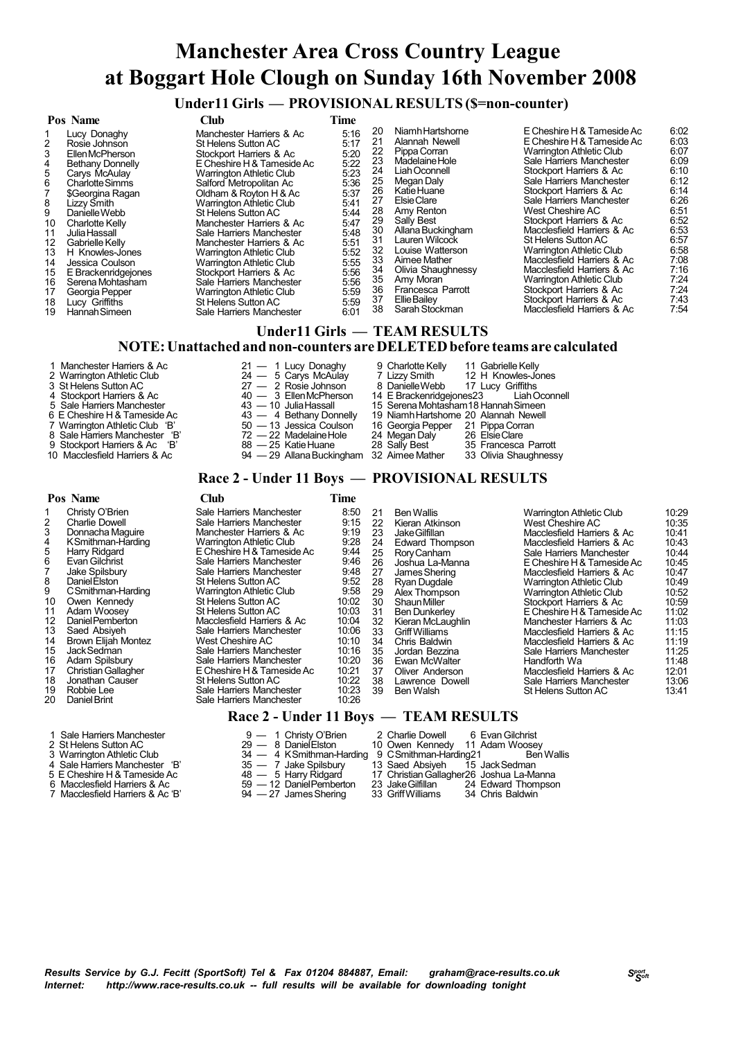# **Manchester Area Cross Country League at Boggart Hole Clough on Sunday 16th November 2008**

 **Under11 Girls — PROVISIONAL RESULTS (\$=non-counter)**

|                                                                                   | Pos Name                                                                                                                                                                                                                                                                                                                                                                | Cl <sub>u</sub>                                                                                                                                                                                                                                                                                                                                                                                                                                                                                                                                            | <b>Time</b>                                                                                                                                          |                                                                                                                |                                                                                                                                                                                                                                                                                                                                                                   |                                                                                                                                                                                                                                                                                                                                                                                                                                                                                                                                                          |                                                                                                                                                      |  |  |  |
|-----------------------------------------------------------------------------------|-------------------------------------------------------------------------------------------------------------------------------------------------------------------------------------------------------------------------------------------------------------------------------------------------------------------------------------------------------------------------|------------------------------------------------------------------------------------------------------------------------------------------------------------------------------------------------------------------------------------------------------------------------------------------------------------------------------------------------------------------------------------------------------------------------------------------------------------------------------------------------------------------------------------------------------------|------------------------------------------------------------------------------------------------------------------------------------------------------|----------------------------------------------------------------------------------------------------------------|-------------------------------------------------------------------------------------------------------------------------------------------------------------------------------------------------------------------------------------------------------------------------------------------------------------------------------------------------------------------|----------------------------------------------------------------------------------------------------------------------------------------------------------------------------------------------------------------------------------------------------------------------------------------------------------------------------------------------------------------------------------------------------------------------------------------------------------------------------------------------------------------------------------------------------------|------------------------------------------------------------------------------------------------------------------------------------------------------|--|--|--|
| 4<br>5<br>6<br>8<br>9<br>10<br>11<br>12<br>13<br>14<br>15<br>16<br>17<br>18<br>19 | Lucy Donaghy<br>Rosie Johnson<br>Ellen McPherson<br><b>Bethany Donnelly</b><br>Carys McAulay<br><b>Charlotte Simms</b><br>\$Georgina Ragan<br>Lizzy Smith<br>Danielle Webb<br>Charlotte Kelly<br>Julia Hassall<br>Gabrielle Kelly<br>H Knowles-Jones<br>Jessica Coulson<br>E Brackenridgejones<br>Serena Mohtasham<br>Georgia Pepper<br>Lucy Griffiths<br>Hannah Simeen | Manchester Harriers & Ac<br>St Helens Sutton AC<br>Stockport Harriers & Ac<br>E Cheshire H & Tameside Ac<br><b>Warrington Athletic Club</b><br>Salford Metropolitan Ac<br>Oldham & Royton H & Ac<br>Warrington Athletic Club<br>St Helens Sutton AC<br>Manchester Harriers & Ac<br>Sale Harriers Manchester<br>Manchester Harriers & Ac<br><b>Warrington Athletic Club</b><br><b>Warrington Athletic Club</b><br>Stockport Harriers & Ac<br>Sale Harriers Manchester<br><b>Warrington Athletic Club</b><br>St Helens Sutton AC<br>Sale Harriers Manchester | 5:16<br>5:17<br>5:20<br>5:22<br>5:23<br>5:36<br>5:37<br>5:41<br>5:44<br>5:47<br>5:48<br>5:51<br>5:52<br>5:55<br>5:56<br>5:56<br>5:59<br>5:59<br>6:01 | 20<br>21<br>22<br>23<br>24<br>25<br>26<br>27<br>28<br>29<br>30<br>31<br>32<br>33<br>34<br>35<br>36<br>37<br>38 | Niamh Hartshome<br>Alannah Newell<br>Pippa Corran<br>Madelaine Hole<br>Liah Oconnell<br>Megan Daly<br>Katie Huane<br>Elsie Clare<br>Amy Renton<br>Sally Best<br>Allana Buckingham<br>Lauren Wilcock<br>Louise Watterson<br>Aimee Mather<br>Olivia Shaughnessy<br>Amy Moran<br>Francesca Parrott<br>Ellie Bailey<br>Sarah Stockman<br>Under11 Girls — TEAM RESULTS | E Cheshire H & Tameside Ac<br>E Cheshire H & Tameside Ac<br><b>Warrington Athletic Club</b><br>Sale Harriers Manchester<br>Stockport Harriers & Ac<br>Sale Harriers Manchester<br>Stockport Harriers & Ac<br>Sale Harriers Manchester<br>West Cheshire AC<br>Stockport Harriers & Ac<br>Macclesfield Harriers & Ac<br>St Helens Sutton AC<br>Warrington Athletic Club<br>Macclesfield Harriers & Ac<br>Macclesfield Harriers & Ac<br><b>Warrington Athletic Club</b><br>Stockport Harriers & Ac<br>Stockport Harriers & Ac<br>Macclesfield Harriers & Ac | 6:02<br>6:03<br>6:07<br>6:09<br>6:10<br>6:12<br>6:14<br>6:26<br>6:51<br>6:52<br>6:53<br>6:57<br>6:58<br>7:08<br>7:16<br>7:24<br>7:24<br>7:43<br>7:54 |  |  |  |
|                                                                                   | NOTE: Unattached and non-counters are DELETED before teams are calculated                                                                                                                                                                                                                                                                                               |                                                                                                                                                                                                                                                                                                                                                                                                                                                                                                                                                            |                                                                                                                                                      |                                                                                                                |                                                                                                                                                                                                                                                                                                                                                                   |                                                                                                                                                                                                                                                                                                                                                                                                                                                                                                                                                          |                                                                                                                                                      |  |  |  |

- Manchester Harriers & Ac 21 1 Lucy Donaghy 9 Charlotte Kelly 11 Gabrielle Kelly<br>
Warrington Athletic Club 24 5 Carys McAulay 7 Lizzy Smith 12 H Knowles-Jones<br>
St Helens Sutton AC 27 2 Rosie Johnson 8 Danielle Webb 17
- 2 Warrington Athletic Club 24 5 Carys McAulay 7 Lizzy Smith 12 H Knowles-Jones
- 3 St Helens Sutton AC 27 2 Rosie Johnson 8 DanielleWebb 17 Lucy Griffiths
- 
- 
- 
- 
- 
- 
- 
- 40 3 Ellen McPherson 14 E Brackenridgejones23 Liah Oconnell<br>40 3 Ellen McPherson 14 E Brackenridgejones23 Liah Oconnell<br>5 Sale Harriers Manchester 43 10 Julia Hassall 15 Serena Mohtasham 18 Hannah Simeen 5 Sale Harriers Manchester 43 — 10 Julia Hassall 15 Serena Mohtasham 18 Hannah Simeen<br>6 E Cheshire H & Tameside Ac 43 — 4 Bethany Donnelly 19 Niamh Hartshorne 20 Alannah Newell 6 E Cheshire H & Tameside Ac  $43 - 4$  Bethany Donnelly 19 Niamh Hartshorne 20 Alannah Newell<br>7 Warrington Athletic Club 'B' 50 - 13 Jessica Coulson 16 Georgia Pepper 21 Pippa Corran 7 Warrington Athletic Club 'B' 50 — 13 Jessica Coulson 16 Georgia Pepper 21 Pippa Corr<br>8 Sale Harriers Manchester 'B' 72 — 22 Madelaine Hole 24 Megan Daly 26 Elsie Clare 8 Sale Harriers Manchester 'B' 72 — 22 Madelaine Hole 24 Megan Daly 26 Elsie Clare<br>
9 Stockport Harriers & Ac 'B' 88 — 25 Katie Huane 28 Sally Best 35 Francesca Parrott<br>
10 Macclesfield Harriers & Ac 94 — 29 Allana Bucking 9 Stockport Harriers & Ac 'B' 88 — 25 Katie Huane 28 Sally Best 35 Francesca Parrott
	- -
- 10 Macclesfield Harriers & Ac 94 29 AllanaBuckingham 32 Aimee Mather 33 Olivia Shaughnessy

### **Race 2 - Under 11 Boys — PROVISIONAL RESULTS**

#### **Pos Name Club Time** 1 Christy O'Brien Sale Harriers Manchester 8:50<br>
2 Charlie Dowell Sale Harriers Manchester 9:15<br>
3 Donnacha Maguire Manchester Harriers & Ac 2:15 Charlie Dowell **Charlie Sale Harriers Manchester** 9:15<br>2:19 Donnacha Maguire Manchester Harriers & Ac 3 Donnacha Maguire Manchester Harriers & Ac 3:19<br>19:28 KSmithman-Harding Marrington Athletic Club 4 KSmithman-Harding Warrington Athletic Club 9:28<br>
5 Harry Ridgard Echeshire H & Tameside Ac 9:44<br>
6 Evan Gilchrist Sale Harriers Manchester 9:46<br>
7 Jake Spilsbury Sale Harriers Manchester 9:48 E Cheshire H & Tameside Ac 9:44<br>Sale Harriers Manchester 9:46 6 Evan Gilchrist Sale Harriers Manchester 9:46 7 Jake Spilsbury Sale Harriers Manchester 9:48<br>
8 Daniel Elston St Helens Sutton AC 9:52<br>
9:52 C Smithman-Harding Warrington Athletic Club 9:58 8 DanielElston St Helens Sutton AC 9:52 9 CSmithman-Harding Warrington Athletic Club 9:58 10 Owen Kennedy 11 Owen Kennedy 10 Owen Kennedy<br>
10 Owen Kennedy 51 St Helens Sutton AC 10:02<br>
11 Adam Woosey 51 St Helens Sutton AC 10:03<br>
12 Daniel Pemberton Macclesfield Harriers & Ac 10:04 11 Adam Woosey St Helens Sutton AC 10:03 12 DanielPemberton Macclesfield Harriers & Ac 10:04 13 Saed Absiyeh Sale Harriers Manchester 10:06<br>14 Brown Elijah Montez West Cheshire AC 10:10 14 Brown Elijah Montez West Cheshire AC 10:10 15 JackSedman Sale Harriers Manchester 10:16 16 Adam Spilsbury Sale Harriers Manchester 10:20 17 Christian Gallagher E Cheshire H & Tameside Ac<br>18 Jonathan Causer St Helens Sutton AC 18 Jonathan Causer St Helens Sutton AC 10:22 19 Robbie Lee Sale Harriers Manchester 10:23<br>20 Daniel Brint Sale Harriers Manchester 10:26 Sale Harriers Manchester 21 Ben Wallis Warrington Athletic Club 10:29<br>22 Kieran Atkinson West Cheshire AC 10:35<br>23 Jake Gilfillan Macclesfield Harriers & Ac 10:41 22 Kieran Atkinson West Cheshire AC 10:35 23 JakeGilfillan Macclesfield Harriers & Ac 10:41 24 Edward Thompson Macclesfield Harriers & Ac 10:43<br>25 Rory Canham Sale Harriers Manchester 10:44<br>26 Joshua La-Manna E Cheshire H & Tameside Ac 10:45 25 Rory Canham Sale Harriers Manchester 126 Joshua La-Manna 26 Joshua La-Manna E Cheshire H & TamesideAc 10:45 27 James Shering Macclesfield Harriers & Ac 10:47<br>
28 Ryan Duadale Marrington Athletic Club 10:49 28 Ryan Dugdale **Warrington Athletic Club** 10:49<br>29 Alex Thompson **Warrington Athletic Club** 10:52 29 Alex Thompson Warrington Athletic Club 10:52 30 ShaunMiller Stockport Harriers & Ac 10:59 31 Ben Dunkerley E Cheshire H & TamesideAc 11:02 32 Kieran McLaughlin Manchester Harriers & Ac 11:03 33 Griff Williams Macclesfield Harriers & Ac 11:15<br>34 Chris Baldwin Macclesfield Harriers & Ac 11:19<br>35 Jordan Bezzina Sale Harriers Manchester 11:25 34 Chris Baldwin Macclesfield Harriers & Ac 11:19 35 Jordan Bezzina Sale Harriers Manchester 11:25 36 Ewan McWalter Handforth Wa 11:48<br>37 Oliver Anderson Macclesfield Harriers & Ac 12:01 37 Oliver Anderson Macclesfield Harriers & Ac 12:01 38 Lawrence Dowell Sale Harriers Manchester 13:06 St Helens Sutton AC

#### **Race 2 - Under 11 Boys — TEAM RESULTS**

- Sale Harriers Manchester  $9 1$  Christy O'Brien 2 Charlie Dowell 6 Evan Gilchrist<br>
St Helens Sutton AC<br>
Warrington Athletic Club<br>
Sale Harriers Manchester 'B'  $35 7$  Jake Spilsbury 9 C Smithman-Harding 21<br>
E Cheshire H &
	-
- 2 St Helens Sutton AC 29 8 Daniel Elston 10 Owen Kennedy 11 Adam Woosey<br>2 St Helens Sutton AC 29 8 Daniel Elston 10 Owen Kennedy 11 Adam Woosey<br>3 Warrington Athletic Club 34 4 KSmithman-Harding 9 CSmithman-Harding 21
- Varrington Athletic Club<br>
34 4 KSmithman-Harding 9 CSmithman-Harding21<br>
35 7 Jake Spilsbury 13 Saed Absiyeh 15<br>
E Cheshire H & Tameside Ac 48 5 Harry Ridgard 17 Christian Gallagher 26 4 Sale Harriers Manchester 'B' 35 — 7 Jake Spilsbury 13 Saed Absiyeh 15 JackSedman 5 E Cheshire H & TamesideAc 48 — 5 Harry Ridgard 17 ChristianGallagher26 Joshua La-Manna
	-
	-
- 6 Macclesfield Harriers & Ac 59 12 Daniel Pemberton 23 Jake Gilfillan 24 Edward Thompson<br>7 Macclesfield Harriers & Ac 'B' 94 27 James Shering 33 Griff Williams 34 Chris Baldwin
	-
- 
- 7 Macclesfield Harriers & Ac 'B' 94 27 JamesShering 33 GriffWilliams 34 Chris Baldwin
	-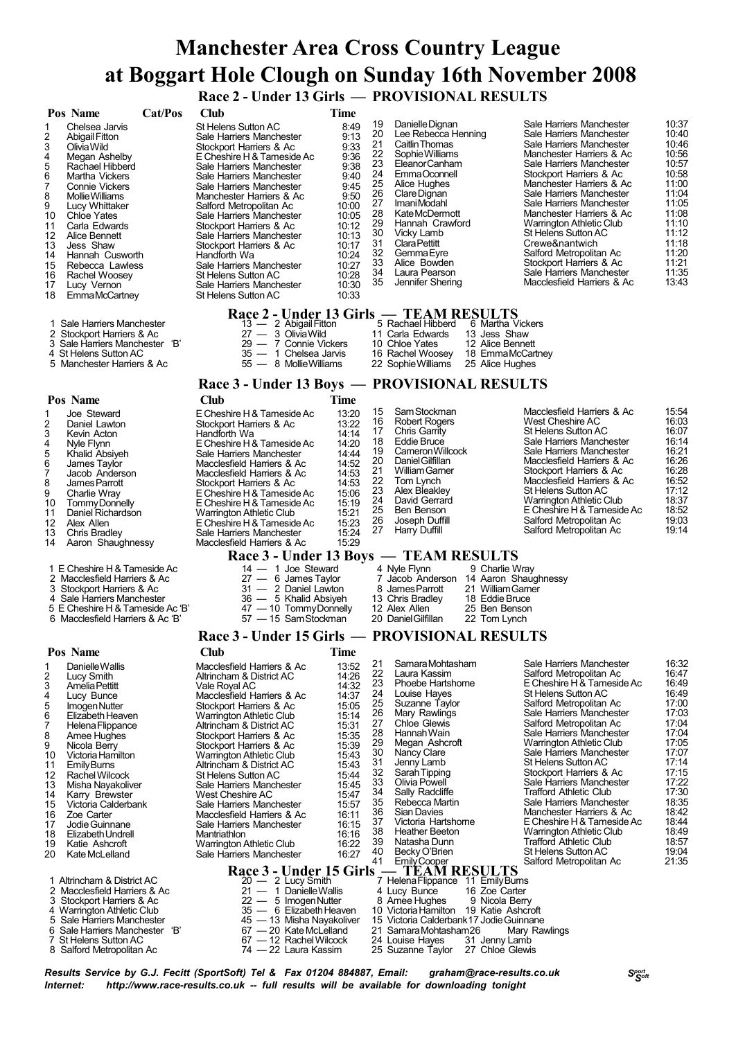# **Manchester Area Cross Country League at Boggart Hole Clough on Sunday 16th November 2008**

 **Race 2 - Under 13 Girls — PROVISIONAL RESULTS**

|                                                                                                             |                                                                                                                                                                                                                                                                                                                                                                                                                    |         |                                                                                                                                                                                                                                                                                                                                                                                                                                                                                                                                                                                 | - UNUL 10 UNI3                                                                                                           |                                                                                                                                                                                                 |                                                                                                                            | $\sim$ TRO V ISIONAL RESULTS                                                                                                                                                                                                                                                                                                                                                                                                                   |                                                                         |                                                                                                                                                                                                                                                                                                                                                                                                                                                                                                                                                                                                                  |                                                                                                                                                                                           |
|-------------------------------------------------------------------------------------------------------------|--------------------------------------------------------------------------------------------------------------------------------------------------------------------------------------------------------------------------------------------------------------------------------------------------------------------------------------------------------------------------------------------------------------------|---------|---------------------------------------------------------------------------------------------------------------------------------------------------------------------------------------------------------------------------------------------------------------------------------------------------------------------------------------------------------------------------------------------------------------------------------------------------------------------------------------------------------------------------------------------------------------------------------|--------------------------------------------------------------------------------------------------------------------------|-------------------------------------------------------------------------------------------------------------------------------------------------------------------------------------------------|----------------------------------------------------------------------------------------------------------------------------|------------------------------------------------------------------------------------------------------------------------------------------------------------------------------------------------------------------------------------------------------------------------------------------------------------------------------------------------------------------------------------------------------------------------------------------------|-------------------------------------------------------------------------|------------------------------------------------------------------------------------------------------------------------------------------------------------------------------------------------------------------------------------------------------------------------------------------------------------------------------------------------------------------------------------------------------------------------------------------------------------------------------------------------------------------------------------------------------------------------------------------------------------------|-------------------------------------------------------------------------------------------------------------------------------------------------------------------------------------------|
| 1<br>2<br>3<br>4<br>5<br>6<br>7<br>8<br>9<br>10<br>11<br>12<br>13<br>14<br>15<br>16<br>17<br>18             | Pos Name<br>Chelsea Jarvis<br>Abigail Fitton<br>Olivia Wild<br>Megan Ashelby<br>Rachael Hibberd<br>Martha Vickers<br><b>Connie Vickers</b><br><b>Mollie Williams</b><br>Lucy Whittaker<br><b>Chloe Yates</b><br>Carla Edwards<br>Alice Bennett<br>Jess Shaw<br>Hannah Cusworth<br>Rebecca Lawless<br>Rachel Woosey<br>Lucy Vernon<br><b>EmmaMcCartney</b>                                                          | Cat/Pos | Club<br>St Helens Sutton AC<br>Sale Harriers Manchester<br>Stockport Harriers & Ac<br>E Cheshire H & Tameside Ac<br>Sale Harriers Manchester<br>Sale Harriers Manchester<br>Sale Harriers Manchester<br>Manchester Harriers & Ac<br>Salford Metropolitan Ac<br>Sale Harriers Manchester<br>Stockport Harriers & Ac<br>Sale Harriers Manchester<br>Stockport Harriers & Ac<br>Handforth Wa<br>Sale Harriers Manchester<br>St Helens Sutton AC<br>Sale Harriers Manchester<br>St Helens Sutton AC                                                                                 |                                                                                                                          | Time<br>8:49<br>9:13<br>9:33<br>9:36<br>9:38<br>9:40<br>9:45<br>9:50<br>10:00<br>10:05<br>10:12<br>10:13<br>10:17<br>10:24<br>10:27<br>10:28<br>10:30<br>10:33                                  | 19<br>20<br>21<br>22<br>23<br>24<br>25<br>26<br>27<br>28<br>29<br>30<br>31<br>32<br>33<br>34<br>35                         | Danielle Dignan<br>Lee Rebecca Henning<br>Caitlin Thomas<br>Sophie Williams<br>Eleanor Canham<br>EmmaOconnell<br>Alice Hughes<br>Clare Dignan<br>Imani Modahl<br>Kate McDermott<br>Hannah Crawford<br>Vicky Lamb<br><b>Clara Pettitt</b><br>Gemma Eyre<br>Alice Bowden<br>Laura Pearson<br>Jennifer Shering                                                                                                                                    |                                                                         | Sale Harriers Manchester<br>Sale Harriers Manchester<br>Sale Harriers Manchester<br>Manchester Harriers & Ac<br>Sale Harriers Manchester<br>Stockport Harriers & Ac<br>Manchester Harriers & Ac<br>Sale Harriers Manchester<br>Sale Harriers Manchester<br>Manchester Harriers & Ac<br>Warrington Athletic Club<br>St Helens Sutton AC<br>Crewe&nantwich<br>Salford Metropolitan Ac<br>Stockport Harriers & Ac<br>Sale Harriers Manchester<br>Macclesfield Harriers & Ac                                                                                                                                         | 10:37<br>10:40<br>10:46<br>10:56<br>10:57<br>10:58<br>11:00<br>11:04<br>11:05<br>11:08<br>11:10<br>11:12<br>11:18<br>11:20<br>11:21<br>11:35<br>13:43                                     |
| 3                                                                                                           | 1 Sale Harriers Manchester<br>2 Stockport Harriers & Ac<br>Sale Harriers Manchester 'B'<br>4 St Helens Sutton AC<br>5 Manchester Harriers & Ac                                                                                                                                                                                                                                                                     |         |                                                                                                                                                                                                                                                                                                                                                                                                                                                                                                                                                                                 | 13 - 2 Abigail Fitton<br>27 - 3 Olivia Wild<br>29 - 7 Connie Vickers<br>35 - 1 Chelsea Jarvis<br>55 - 8 Mollie Williams  |                                                                                                                                                                                                 |                                                                                                                            | Race 2 - Under 13 Girls — TEAM RESULTS<br>5 Rachael Hibberd<br>11 Carla Edwards<br>10 Chloe Yates<br>16 Rachel Woosey 18 EmmaMcCartney<br>22 Sophie Williams                                                                                                                                                                                                                                                                                   | 6 Martha Vickers<br>13 Jess Shaw<br>12 Alice Bennett<br>25 Alice Hughes |                                                                                                                                                                                                                                                                                                                                                                                                                                                                                                                                                                                                                  |                                                                                                                                                                                           |
|                                                                                                             |                                                                                                                                                                                                                                                                                                                                                                                                                    |         |                                                                                                                                                                                                                                                                                                                                                                                                                                                                                                                                                                                 |                                                                                                                          |                                                                                                                                                                                                 |                                                                                                                            | Race 3 - Under 13 Boys - PROVISIONAL RESULTS                                                                                                                                                                                                                                                                                                                                                                                                   |                                                                         |                                                                                                                                                                                                                                                                                                                                                                                                                                                                                                                                                                                                                  |                                                                                                                                                                                           |
|                                                                                                             | Pos Name                                                                                                                                                                                                                                                                                                                                                                                                           |         | <b>Club</b>                                                                                                                                                                                                                                                                                                                                                                                                                                                                                                                                                                     |                                                                                                                          | <b>Time</b>                                                                                                                                                                                     |                                                                                                                            |                                                                                                                                                                                                                                                                                                                                                                                                                                                |                                                                         |                                                                                                                                                                                                                                                                                                                                                                                                                                                                                                                                                                                                                  |                                                                                                                                                                                           |
| 1<br>2<br>3<br>4<br>5<br>6<br>7<br>8<br>9<br>10<br>11<br>12<br>13<br>14                                     | Joe Steward<br>Daniel Lawton<br>Kevin Acton<br>Nyle Flynn<br>Khalid Absiyeh<br>James Taylor<br>Jacob Anderson<br>James Parrott<br>Charlie Wray<br>Tommy Donnelly<br>Daniel Richardson<br>Alex Allen<br><b>Chris Bradley</b><br>Aaron Shaughnessy                                                                                                                                                                   |         | E Cheshire H & Tameside Ac<br>Stockport Harriers & Ac<br>Handforth Wa<br>E Cheshire H & Tameside Ac<br>Sale Harriers Manchester<br>Macclesfield Harriers & Ac<br>Macclesfield Harriers & Ac<br>Stockport Harriers & Ac<br>E Cheshire H & Tameside Ac<br>E Cheshire H & Tameside Ac<br>Warrington Athletic Club<br>E Cheshire H & Tameside Ac<br>Sale Harriers Manchester<br>Macclesfield Harriers & Ac                                                                                                                                                                          |                                                                                                                          | 13:20<br>13:22<br>14:14<br>14:20<br>14:44<br>14:52<br>14:53<br>14:53<br>15:06<br>15:19<br>15:21<br>15:23<br>15:24<br>15:29                                                                      | 15<br>16<br>17<br>18<br>19<br>20<br>21<br>22<br>23<br>24<br>25<br>26<br>27                                                 | Sam Stockman<br><b>Robert Rogers</b><br>Chris Garrity<br><b>Eddie Bruce</b><br>Cameron Willcock<br>Daniel Gilfillan<br>William Gamer<br>Tom Lynch<br>Alex Bleakley<br>David Gerrard<br>Ben Benson<br>Joseph Duffill<br>Harry Duffill                                                                                                                                                                                                           |                                                                         | Macclesfield Harriers & Ac<br>West Cheshire AC<br>St Helens Sutton AC<br>Sale Harriers Manchester<br>Sale Harriers Manchester<br>Macclesfield Harriers & Ac<br>Stockport Harriers & Ac<br>Macclesfield Harriers & Ac<br>St Helens Sutton AC<br>Warrington Athletic Club<br>E Cheshire H & Tameside Ac<br>Salford Metropolitan Ac<br>Salford Metropolitan Ac                                                                                                                                                                                                                                                      | 15:54<br>16:03<br>16:07<br>16:14<br>16:21<br>16:26<br>16:28<br>16:52<br>17:12<br>18:37<br>18:52<br>19:03<br>19:14                                                                         |
|                                                                                                             | 1 E Cheshire H & Tameside Ac                                                                                                                                                                                                                                                                                                                                                                                       |         |                                                                                                                                                                                                                                                                                                                                                                                                                                                                                                                                                                                 | 14 - 1 Joe Steward                                                                                                       |                                                                                                                                                                                                 |                                                                                                                            | Race 3 - Under 13 Boys — TEAM RESULTS<br>4 Nyle Flynn                                                                                                                                                                                                                                                                                                                                                                                          | 9 Charlie Wray                                                          |                                                                                                                                                                                                                                                                                                                                                                                                                                                                                                                                                                                                                  |                                                                                                                                                                                           |
| 3                                                                                                           | 2 Macclesfield Harriers & Ac<br>Stockport Harriers & Ac<br>4 Sale Harriers Manchester<br>5 E Cheshire H & Tameside Ac 'B'<br>6 Macclesfield Harriers & Ac 'B'                                                                                                                                                                                                                                                      |         |                                                                                                                                                                                                                                                                                                                                                                                                                                                                                                                                                                                 | $27 - 6$ James Taylor<br>31 - 2 Daniel Lawton<br>36 - 5 Khalid Absiyeh<br>47 - 10 Tommy Donnelly<br>57 - 15 Sam Stockman |                                                                                                                                                                                                 |                                                                                                                            | 7 Jacob Anderson 14 Aaron Shaughnessy<br>8 James Parrott<br>13 Chris Bradley<br>12 Alex Allen<br>20 Daniel Gilfillan                                                                                                                                                                                                                                                                                                                           | 21 William Garner<br>18 Eddie Bruce<br>25 Ben Benson<br>22 Tom Lynch    |                                                                                                                                                                                                                                                                                                                                                                                                                                                                                                                                                                                                                  |                                                                                                                                                                                           |
|                                                                                                             |                                                                                                                                                                                                                                                                                                                                                                                                                    |         |                                                                                                                                                                                                                                                                                                                                                                                                                                                                                                                                                                                 |                                                                                                                          |                                                                                                                                                                                                 |                                                                                                                            | Race 3 - Under 15 Girls — PROVISIONAL RESULTS                                                                                                                                                                                                                                                                                                                                                                                                  |                                                                         |                                                                                                                                                                                                                                                                                                                                                                                                                                                                                                                                                                                                                  |                                                                                                                                                                                           |
| 1<br>2<br>3<br>4<br>5<br>6<br>7<br>8<br>9<br>10<br>11<br>12<br>13<br>14<br>15<br>16<br>17<br>18<br>19<br>20 | Pos Name<br>Danielle Wallis<br>Lucy Smith<br><b>Amelia Pettitt</b><br>Lucy Bunce<br>Imogen Nutter<br>Elizabeth Heaven<br>Helena Flippance<br>Amee Hughes<br>Nicola Berry<br>Victoria Hamilton<br>Emily Bums<br>Rachel Wilcock<br>Misha Nayakoliver<br>Karry Brewster<br>Victoria Calderbank<br>Zoe Carter<br>Jodie Guinnane<br>Elizabeth Undrell<br>Katie Ashcroft<br>Kate McLelland<br>1 Altrincham & District AC |         | <b>Club</b><br>Macclesfield Harriers & Ac<br>Altrincham & District AC<br>Vale Royal AC<br>Macclesfield Harriers & Ac<br>Stockport Harriers & Ac<br><b>Warrington Athletic Club</b><br>Altrincham & District AC<br>Stockport Harriers & Ac<br>Stockport Harriers & Ac<br><b>Warrington Athletic Club</b><br>Altrincham & District AC<br><b>St Helens Sutton AC</b><br>Sale Harriers Manchester<br>West Cheshire AC<br>Sale Harriers Manchester<br>Macclesfield Harriers & Ac<br>Sale Harriers Manchester<br>Mantriathlon<br>Warrington Athletic Club<br>Sale Harriers Manchester | Race 3 - Under 15 Girls<br>$20 - 2$ Lucy Smith                                                                           | <b>Time</b><br>13:52<br>14:26<br>14:32<br>14:37<br>15:05<br>15:14<br>15:31<br>15:35<br>15:39<br>15:43<br>15:43<br>15:44<br>15:45<br>15:47<br>15:57<br>16:11<br>16:15<br>16:16<br>16:22<br>16:27 | 21<br>22<br>23<br>24<br>25<br>26<br>27<br>28<br>29<br>30<br>31<br>32<br>33<br>34<br>35<br>36<br>37<br>38<br>39<br>40<br>41 | Samara Mohtasham<br>Laura Kassim<br>Phoebe Hartshorne<br>Louise Hayes<br>Suzanne Taylor<br>Mary Rawlings<br>Chloe Glewis<br>Hannah Wain<br>Megan Ashcroft<br>Nancy Clare<br>Jenny Lamb<br>Sarah Tipping<br>Olivia Powell<br>Sally Radcliffe<br>Rebecca Martin<br><b>Sian Davies</b><br>Victoria Hartshome<br><b>Heather Beeton</b><br>Natasha Dunn<br>Becky O'Brien<br>EmilyCooper<br><b>TEAM RESULTS</b><br>7 Helena Flippance 11 Emily Burns |                                                                         | Sale Harriers Manchester<br>Salford Metropolitan Ac<br>E Cheshire H & Tameside Ac<br><b>St Helens Sutton AC</b><br>Salford Metropolitan Ac<br>Sale Harriers Manchester<br>Salford Metropolitan Ac<br>Sale Harriers Manchester<br>Warrington Athletic Club<br>Sale Harriers Manchester<br><b>St Helens Sutton AC</b><br>Stockport Harriers & Ac<br>Sale Harriers Manchester<br><b>Trafford Athletic Club</b><br>Sale Harriers Manchester<br>Manchester Harriers & Ac<br>E Cheshire H & Tameside Ac<br>Warrington Athletic Club<br><b>Trafford Athletic Club</b><br>St Helens Sutton AC<br>Salford Metropolitan Ac | 16:32<br>16:47<br>16:49<br>16:49<br>17:00<br>17:03<br>17:04<br>17:04<br>17:05<br>17:07<br>17:14<br>17:15<br>17:22<br>17:30<br>18:35<br>18:42<br>18:44<br>18:49<br>18:57<br>19:04<br>21:35 |
|                                                                                                             | 2 Macclesfield Harriers & Ac<br>3 Stockport Harriers & Ac                                                                                                                                                                                                                                                                                                                                                          |         |                                                                                                                                                                                                                                                                                                                                                                                                                                                                                                                                                                                 | 21 - 1 Danielle Wallis<br>22 - 5 Imogen Nutter                                                                           |                                                                                                                                                                                                 |                                                                                                                            | 4 Lucy Bunce<br>8 Amee Hughes                                                                                                                                                                                                                                                                                                                                                                                                                  | 16 Zoe Carter<br>9 Nicola Berry                                         |                                                                                                                                                                                                                                                                                                                                                                                                                                                                                                                                                                                                                  |                                                                                                                                                                                           |
|                                                                                                             | 4 Warrington Athletic Club                                                                                                                                                                                                                                                                                                                                                                                         |         | $35 -$                                                                                                                                                                                                                                                                                                                                                                                                                                                                                                                                                                          | 6 Elizabeth Heaven                                                                                                       |                                                                                                                                                                                                 |                                                                                                                            | 10 Victoria Hamilton 19 Katie Ashcroft                                                                                                                                                                                                                                                                                                                                                                                                         |                                                                         |                                                                                                                                                                                                                                                                                                                                                                                                                                                                                                                                                                                                                  |                                                                                                                                                                                           |

- 5 Sale Harriers Manchester 45 13 Misha Nayakoliver 15 Victoria Calderbank17 JodieGuinnane
- Sale Harriers Manchester 'B' 67 20 KateMcLelland 21 SamaraMohtasham26 Mary Rawlings 7 St Helens Sutton AC 67 12 RachelWilcock 24 Louise Hayes 31 Jenny Lamb
- 
- -
- 
- -
- 
- 
- 
- 
- 
- 
- 8 Salford Metropolitan Ac 74 22 Laura Kassim 25 Suzanne Taylor 27 Chloe Glewis
- *<sup>S</sup>port Results Service by G.J. Fecitt <sup>S</sup>oft (SportSoft) Tel & Fax <sup>01204</sup> 884887, Email: graham@race-results.co.uk Internet: http://www.race-results.co.uk -- full results will be available for downloading tonight*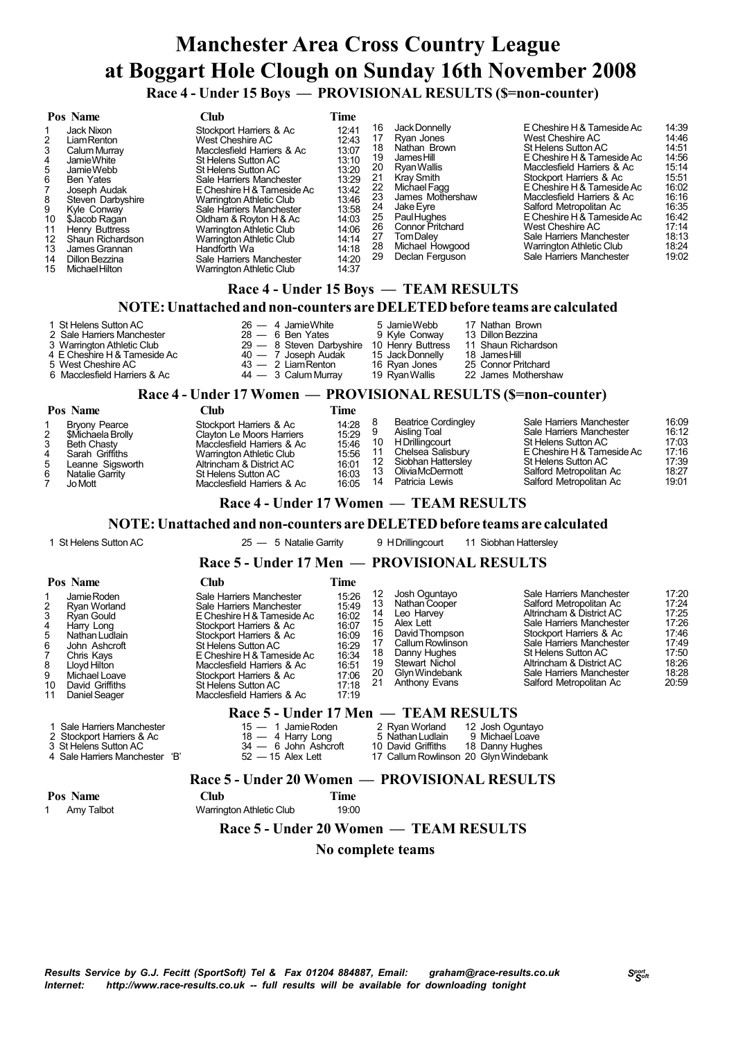# **Manchester Area Cross Country League at Boggart Hole Clough on Sunday 16th November 2008 Race 4 - Under 15 Boys — PROVISIONAL RESULTS (\$=non-counter)**

|                                                                                  | Pos Name                                                                                                                                                                                                                                            | Club                                                                                                                                                                                                                                                                                                                                                                                                              | Time                                                                                                                                |                                                                                  |                                                                                                                                                                                                                                                                                      |                                                                                                                                                                                                                                                                                                                                                                                           |                                                                                                                            |
|----------------------------------------------------------------------------------|-----------------------------------------------------------------------------------------------------------------------------------------------------------------------------------------------------------------------------------------------------|-------------------------------------------------------------------------------------------------------------------------------------------------------------------------------------------------------------------------------------------------------------------------------------------------------------------------------------------------------------------------------------------------------------------|-------------------------------------------------------------------------------------------------------------------------------------|----------------------------------------------------------------------------------|--------------------------------------------------------------------------------------------------------------------------------------------------------------------------------------------------------------------------------------------------------------------------------------|-------------------------------------------------------------------------------------------------------------------------------------------------------------------------------------------------------------------------------------------------------------------------------------------------------------------------------------------------------------------------------------------|----------------------------------------------------------------------------------------------------------------------------|
| 2<br>3<br>4<br>5<br>6<br>8<br>9<br>10<br>11<br>12 <sup>2</sup><br>13<br>14<br>15 | Jack Nixon<br>Liam Renton<br>Calum Murray<br>Jamie White<br>Jamie Webb<br>Ben Yates<br>Joseph Audak<br>Steven Darbyshire<br>Kyle Conway<br>\$Jacob Ragan<br>Henry Buttress<br>Shaun Richardson<br>James Grannan<br>Dillon Bezzina<br>Michael Hilton | Stockport Harriers & Ac<br>West Cheshire AC<br>Macclesfield Harriers & Ac<br>St Helens Sutton AC<br>St Helens Sutton AC<br>Sale Harriers Manchester<br>E Cheshire H & Tameside Ac<br>Warrington Athletic Club<br>Sale Harriers Manchester<br>Oldham & Royton H & Ac<br><b>Warrington Athletic Club</b><br><b>Warrington Athletic Club</b><br>Handforth Wa<br>Sale Harriers Manchester<br>Warrington Athletic Club | 12:41<br>12:43<br>13:07<br>13:10<br>13:20<br>13:29<br>13:42<br>13:46<br>13:58<br>14:03<br>14:06<br>14:14<br>14:18<br>14:20<br>14:37 | 16<br>17<br>18<br>19<br>20<br>21<br>22<br>23<br>24<br>25<br>26<br>27<br>28<br>29 | Jack Donnelly<br>Ryan Jones<br>Nathan Brown<br>James Hill<br>Ryan Wallis<br><b>Krav Smith</b><br>Michael Fagg<br>James Mothershaw<br>Jake Eyre<br>Paul Hughes<br><b>Connor Pritchard</b><br>Tom Dalev<br>Michael Howgood<br>Declan Ferguson<br>Race 4 - Under 15 Boys — TEAM RESULTS | E Cheshire H & Tameside Ac<br>West Cheshire AC<br>St Helens Sutton AC<br>E Cheshire H & Tameside Ac<br>Macclesfield Harriers & Ac<br>Stockport Harriers & Ac<br>E Cheshire H & Tameside Ac<br>Macclesfield Harriers & Ac<br>Salford Metropolitan Ac<br>E Cheshire H & Tameside Ac<br>West Cheshire AC<br>Sale Harriers Manchester<br>Warrington Athletic Club<br>Sale Harriers Manchester | 14:39<br>14:46<br>14:51<br>14:56<br>15:14<br>15:51<br>16:02<br>16:16<br>16:35<br>16:42<br>17:14<br>18:13<br>18:24<br>19:02 |
|                                                                                  |                                                                                                                                                                                                                                                     |                                                                                                                                                                                                                                                                                                                                                                                                                   |                                                                                                                                     |                                                                                  |                                                                                                                                                                                                                                                                                      |                                                                                                                                                                                                                                                                                                                                                                                           |                                                                                                                            |

### **NOTE:Unattached and non-counters are DELETEDbefore teams are calculated**

|                              | TWI L. Unattached and hon-counters are DEEE FED before teams are c |                   |                     |
|------------------------------|--------------------------------------------------------------------|-------------------|---------------------|
| 1 St Helens Sutton AC        | $26 - 4$ Jamie White                                               | 5 Jamie Webb      | 17 Nathan Brown     |
| 2 Sale Harriers Manchester   | $28 - 6$ Ben Yates                                                 | 9 Kyle Conway     | 13 Dillon Bezzina   |
| 3 Warrington Athletic Club   | $29 - 8$ Steven Darbyshire                                         | 10 Henry Buttress | 11 Shaun Richardson |
| 4 E Cheshire H & Tameside Ac | 40 - 7 Joseph Audak                                                | 15 Jack Donnelly  | 18 James Hill       |
| 5 West Cheshire AC           | $43 - 2$ Liam Renton                                               | 16 Ryan Jones     | 25 Connor Pritchard |
| 6 Macclesfield Harriers & Ac | 44 - 3 Calum Murray                                                | 19 Ryan Wallis    | 22 James Mothershaw |

### **Race 4 - Under 17 Women — PROVISIONAL RESULTS (\$=non-counter)**

|                             | Pos Name                                                                                                                      | `lub                                                                                                                                                                                            | Time                                                        |          |                                                                                                                                                |                                                                                                                                                                                        |                                                             |
|-----------------------------|-------------------------------------------------------------------------------------------------------------------------------|-------------------------------------------------------------------------------------------------------------------------------------------------------------------------------------------------|-------------------------------------------------------------|----------|------------------------------------------------------------------------------------------------------------------------------------------------|----------------------------------------------------------------------------------------------------------------------------------------------------------------------------------------|-------------------------------------------------------------|
| $\mathbf{2}$<br>4<br>5<br>6 | <b>Bryony Pearce</b><br>\$Michaela Brolly<br>Beth Chasty<br>Sarah Griffiths<br>Leanne Sigsworth<br>Natalie Garrity<br>Jo Mott | Stockport Harriers & Ac<br>Clayton Le Moors Harriers<br>Macclesfield Harriers & Ac<br>Warrington Athletic Club<br>Altrincham & District AC<br>St Helens Sutton AC<br>Macclesfield Harriers & Ac | 14:28<br>15:29<br>15:46<br>15:56<br>16:01<br>16:03<br>16:05 | 10<br>14 | <b>Beatrice Cordingley</b><br>Aisling Toal<br>H Drillingcourt<br>Chelsea Salisbury<br>Siobhan Hattersley<br>Olivia McDermott<br>Patricia Lewis | Sale Harriers Manchester<br>Sale Harriers Manchester<br>St Helens Sutton AC<br>E Cheshire H & Tameside Ac<br>St Helens Sutton AC<br>Salford Metropolitan Ac<br>Salford Metropolitan Ac | 16:09<br>16:12<br>17:03<br>17:16<br>17:39<br>18:27<br>19:01 |

### **Race 4 - Under 17 Women — TEAM RESULTS**

#### **NOTE:Unattached and non-counters are DELETEDbefore teams are calculated**

1 St Helens Sutton AC 25 — 5 Natalie Garrity 9 HDrillingcourt 11 Siobhan Hattersley

### **Race 5 - Under 17 Men — PROVISIONAL RESULTS**

| Pos Name<br>Jamie Roden<br>2<br>Ryan Worland<br>3<br>Rvan Gould<br>4<br>Harry Long<br>5<br>Nathan Ludlain<br>6<br>John Ashcroft<br>Chris Kavs<br>8<br>Lloyd Hilton<br>9<br>Michael Loave<br>David Griffiths<br>10<br>Daniel Seager<br>11 | Club<br>Sale Harriers Manchester<br>Sale Harriers Manchester<br>E Cheshire H & Tameside Ac<br>Stockport Harriers & Ac<br>Stockport Harriers & Ac<br>St Helens Sutton AC<br>E Cheshire H & Tameside Ac<br>Macclesfield Harriers & Ac<br>Stockport Harriers & Ac<br>St Helens Sutton AC<br>Macclesfield Harriers & Ac | Time<br>15:26<br>15:49<br>16:02<br>16:07<br>16:09<br>16:29<br>16:34<br>16:51<br>17:06<br>17:18<br>17:19 | 12<br>13<br>14<br>15<br>16<br>18<br>19<br>20<br>21 | Josh Oguntayo<br>Nathan Cooper<br>Leo Harvey<br>Alex Lett<br>David Thompson<br>Callum Rowlinson<br>Danny Hughes<br>Stewart Nichol<br>Glyn Windebank<br>Anthony Evans | Sale Harriers Manchester<br>Salford Metropolitan Ac<br>Altrincham & District AC<br>Sale Harriers Manchester<br>Stockport Harriers & Ac<br>Sale Harriers Manchester<br>St Helens Sutton AC<br>Altrincham & District AC<br>Sale Harriers Manchester<br>Salford Metropolitan Ac | 17:20<br>17:24<br>17:25<br>17:26<br>17:46<br>17:49<br>17:50<br>18:26<br>18:28<br>20:59 |
|------------------------------------------------------------------------------------------------------------------------------------------------------------------------------------------------------------------------------------------|---------------------------------------------------------------------------------------------------------------------------------------------------------------------------------------------------------------------------------------------------------------------------------------------------------------------|---------------------------------------------------------------------------------------------------------|----------------------------------------------------|----------------------------------------------------------------------------------------------------------------------------------------------------------------------|------------------------------------------------------------------------------------------------------------------------------------------------------------------------------------------------------------------------------------------------------------------------------|----------------------------------------------------------------------------------------|
| 1 Sale Harriers Manchester<br>2 Stockport Harriers & Ac<br>3 St Helens Sutton AC                                                                                                                                                         | $15 - 1$ Jamie Roden<br>$18 - 4$ Harry Long<br>34 - 6 John Ashcroft                                                                                                                                                                                                                                                 |                                                                                                         |                                                    | Race 5 - Under 17 Men — TEAM RESULTS<br>2 Ryan Worland<br>5 Nathan Ludlain<br>10 David Griffiths                                                                     | 12 Josh Oguntayo<br>9 Michael Loave<br>18 Danny Hughes                                                                                                                                                                                                                       |                                                                                        |

Sale Harriers Manchester 'B' 52 — 15 Alex Lett 17 Callum Rowlinson 20 GlynWindebank

#### **Race 5 - Under 20 Women — PROVISIONAL RESULTS**

| Pos Name   | <b>Club</b>                     | Time  |  |
|------------|---------------------------------|-------|--|
| Amy Talbot | <b>Warrington Athletic Club</b> | 19:00 |  |

 **Race 5 - Under 20 Women — TEAM RESULTS**

 **No complete teams**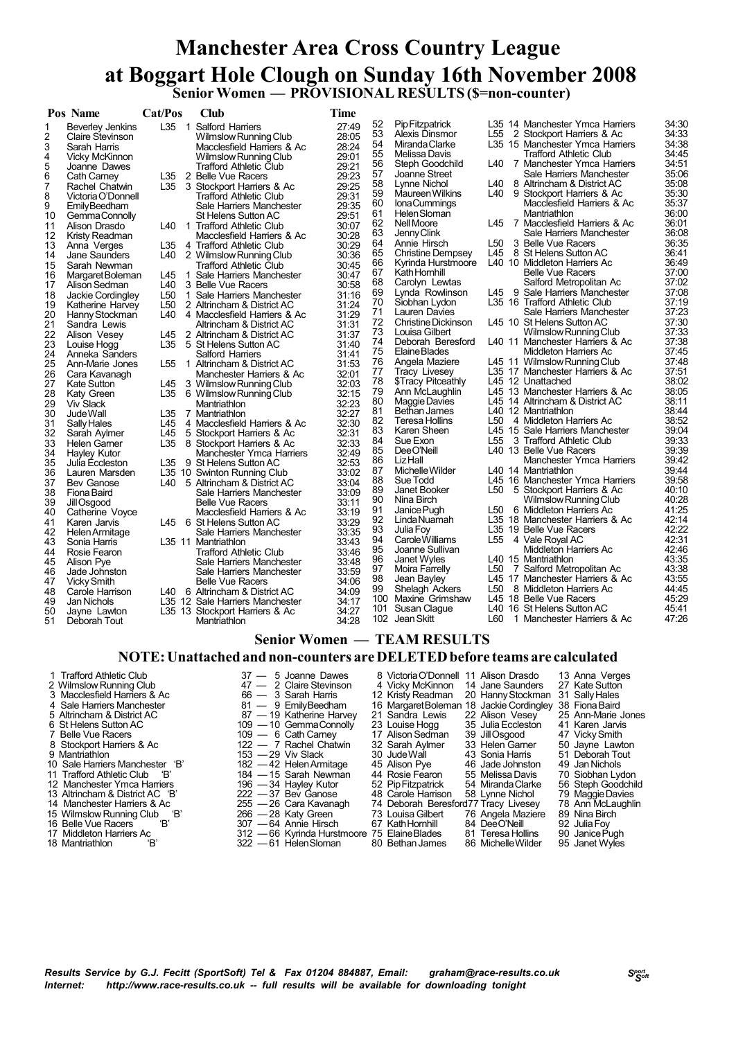## **Manchester Area Cross Country League at Boggart Hole Clough on Sunday 16th November 2008 Senior Women — PROVISIONAL RESULTS (\$=non-counter)**

|    | Pos Name                | Cat/Pos         | Club                            | Time  |     |                           |            |                                 |                |
|----|-------------------------|-----------------|---------------------------------|-------|-----|---------------------------|------------|---------------------------------|----------------|
| 1  | <b>Beverley Jenkins</b> | L35             | 1 Salford Harriers              | 27:49 | 52  | Pip Fitzpatrick           |            | L35 14 Manchester Ymca Harriers | 34:30          |
| 2  | Claire Stevinson        |                 | Wilmslow Running Club           | 28:05 | 53  | Alexis Dinsmor            | L55        | 2 Stockport Harriers & Ac       | 34:33          |
| 3  | Sarah Harris            |                 | Macclesfield Harriers & Ac      | 28:24 | 54  | Miranda Clarke            |            | L35 15 Manchester Ymca Harriers | 34:38          |
| 4  | Vicky McKinnon          |                 | Wilmslow Running Club           | 29:01 | 55  | Melissa Davis             |            | <b>Trafford Athletic Club</b>   | 34:45          |
| 5  | Joanne Dawes            |                 | <b>Trafford Athletic Club</b>   | 29:21 | 56  | Steph Goodchild           | L40        | 7 Manchester Ymca Harriers      | 34:51          |
| 6  | Cath Carney             | L35             | 2 Belle Vue Racers              | 29:23 | 57  | Joanne Street             |            | Sale Harriers Manchester        | 35:06          |
| 7  | Rachel Chatwin          |                 | L35 3 Stockport Harriers & Ac   | 29:25 | 58  | Lynne Nichol              | L40        | 8 Altrincham & District AC      | 35:08          |
| 8  | Victoria O'Donnell      |                 | <b>Trafford Athletic Club</b>   | 29:31 | 59  | <b>Maureen Wilkins</b>    |            | L40 9 Stockport Harriers & Ac   | 35:30          |
| 9  | <b>EmilyBeedham</b>     |                 | Sale Harriers Manchester        | 29:35 | 60  | <b>IonaCummings</b>       |            | Macclesfield Harriers & Ac      | 35:37          |
| 10 | Gemma Connolly          |                 | St Helens Sutton AC             | 29:51 | 61  | Helen Sloman              |            | Mantriathlon                    | 36:00          |
| 11 | Alison Drasdo           | L40             | 1 Trafford Athletic Club        | 30:07 | 62  | Nell Moore                | L45        | 7 Macclesfield Harriers & Ac    | 36:01          |
| 12 | Kristy Readman          |                 | Macclesfield Harriers & Ac      | 30:28 | 63  | Jenny Clink               |            | Sale Harriers Manchester        | 36:08          |
| 13 | Anna Verges             | L35             | 4 Trafford Athletic Club        | 30:29 | 64  | Annie Hirsch              | L50        | 3 Belle Vue Racers              | 36:35          |
| 14 | Jane Saunders           | L40             | 2 Wilmslow Running Club         | 30:36 | 65  | Christine Dempsey         |            | L45 8 St Helens Sutton AC       | 36:41          |
| 15 | Sarah Newman            |                 | <b>Trafford Athletic Club</b>   | 30:45 | 66  | Kyrinda Hurstmoore        |            | L40 10 Middleton Harriers Ac    | 36:49          |
| 16 | Margaret Boleman        | L45             | 1 Sale Harriers Manchester      | 30:47 | 67  | Kath Hornhill             |            | <b>Belle Vue Racers</b>         | 37:00          |
| 17 | Alison Sedman           | L40             | 3 Belle Vue Racers              | 30:58 | 68  | Carolyn Lewtas            |            | Salford Metropolitan Ac         | 37:02          |
| 18 | Jackie Cordingley       | L50             | 1 Sale Harriers Manchester      | 31:16 | 69  | Lynda Rowlinson           | L45        | 9 Sale Harriers Manchester      | 37:08          |
| 19 | Katherine Harvey        | L50             | 2 Altrincham & District AC      | 31:24 | 70  | Siobhan Lydon             |            | L35 16 Trafford Athletic Club   | 37:19          |
| 20 | Hanny Stockman          | L40             | 4 Macclesfield Harriers & Ac    | 31:29 | 71  | Lauren Davies             |            | Sale Harriers Manchester        | 37:23          |
| 21 | Sandra Lewis            |                 | Altrincham & District AC        | 31:31 | 72  | Christine Dickinson       |            | L45 10 St Helens Sutton AC      | 37:30          |
| 22 | Alison Vesey            | L45             | 2 Altrincham & District AC      | 31:37 | 73  | Louisa Gilbert            |            | Wilmslow Running Club           | 37:33          |
| 23 | Louise Hogg             | L35             | 5 St Helens Sutton AC           | 31:40 | 74  | Deborah Beresford         |            | L40 11 Manchester Harriers & Ac | 37:38          |
| 24 | Anneka Sanders          |                 | Salford Harriers                | 31:41 | 75  | Elaine Blades             |            | Middleton Harriers Ac           | 37:45          |
| 25 | Ann-Marie Jones         | L <sub>55</sub> | 1 Altrincham & District AC      | 31:53 | 76  | Angela Maziere            |            | L45 11 Wilmslow Running Club    | 37:48          |
| 26 | Cara Kavanagh           |                 | Manchester Harriers & Ac        | 32:01 | 77  | <b>Tracy Livesey</b>      |            | L35 17 Manchester Harriers & Ac | 37:51          |
| 27 | Kate Sutton             | L45             | 3 Wilmslow Running Club         | 32:03 | 78  | <b>\$Tracy Pitceathly</b> |            | L45 12 Unattached               | 38:02          |
| 28 | Katy Green              | L35             | 6 Wilmslow Running Club         | 32:15 | 79  | Ann McLaughlin            |            | L45 13 Manchester Harriers & Ac | 38:05          |
| 29 | Viv Slack               |                 | Mantriathlon                    | 32:23 | 80  | Maggie Davies             |            | L45 14 Altrincham & District AC | 38:11          |
| 30 | Jude Wall               | L35             | 7 Mantriathlon                  | 32:27 | 81  | <b>Bethan James</b>       |            | L <sub>40</sub> 12 Mantriathlon | 38:44          |
| 31 | Sally Hales             | L45             | 4 Macclesfield Harriers & Ac    | 32:30 | 82  | Teresa Hollins            | L50        | 4 Middleton Harriers Ac         | 38:52          |
| 32 | Sarah Aylmer            | L45             | 5 Stockport Harriers & Ac       | 32:31 | 83  | Karen Sheen               |            | L45 15 Sale Harriers Manchester | 39:04          |
| 33 | Helen Gamer             | L35             | 8 Stockport Harriers & Ac       | 32:33 | 84  | Sue Exon                  | L55        | 3 Trafford Athletic Club        | 39:33          |
| 34 | Hayley Kutor            |                 | Manchester Ymca Harriers        | 32:49 | 85  | Dee O'Neill               |            | L40 13 Belle Vue Racers         | 39:39          |
| 35 | Julia Eccleston         | L35             | 9 St Helens Sutton AC           | 32:53 | 86  | <b>Liz Hall</b>           |            | Manchester Ymca Harriers        | 39:42          |
| 36 | Lauren Marsden          |                 | L35 10 Swinton Running Club     | 33:02 | 87  | Michelle Wilder           |            | L40 14 Mantriathlon             | 39:44          |
| 37 | Bev Ganose              | L40             | 5 Altrincham & District AC      | 33:04 | 88  | Sue Todd                  |            | L45 16 Manchester Ymca Harriers | 39:58          |
| 38 | Fiona Baird             |                 | Sale Harriers Manchester        | 33:09 | 89  | Janet Booker              | L50        | 5 Stockport Harriers & Ac       | 40:10          |
| 39 | Jill Osgood             |                 | <b>Belle Vue Racers</b>         | 33:11 | 90  | Nina Birch                |            | Wilmslow Running Club           | 40:28          |
| 40 | Catherine Voyce         |                 | Macclesfield Harriers & Ac      | 33:19 | 91  | Janice Pugh               | L50        | 6 Middleton Harriers Ac         | 41:25          |
| 41 | Karen Jarvis            |                 | L45 6 St Helens Sutton AC       | 33:29 | 92  | Linda Nuamah              |            | L35 18 Manchester Harriers & Ac | 42:14          |
| 42 | Helen Armitage          |                 | Sale Harriers Manchester        | 33:35 | 93  | Julia Foy                 |            | L35 19 Belle Vue Racers         | 42:22          |
| 43 | Sonia Harris            |                 | L35 11 Mantriathlon             | 33:43 | 94  | Carole Williams           | L55        | 4 Vale Royal AC                 | 42:31          |
| 44 | Rosie Fearon            |                 | <b>Trafford Athletic Club</b>   | 33:46 | 95  | Joanne Sullivan           |            | Middleton Harriers Ac           | 42:46          |
| 45 | Alison Pye              |                 | Sale Harriers Manchester        | 33:48 | 96  | Janet Wyles               |            | L40 15 Mantriathlon             | 43:35          |
| 46 | Jade Johnston           |                 | Sale Harriers Manchester        | 33:59 | 97  | Moira Farrelly            | L50        | 7 Salford Metropolitan Ac       | 43:38          |
| 47 | Vicky Smith             |                 | <b>Belle Vue Racers</b>         | 34:06 | 98  | Jean Bayley               |            | L45 17 Manchester Harriers & Ac | 43:55          |
| 48 | Carole Harrison         |                 | L40 6 Altrincham & District AC  | 34:09 | 99  | Shelagh Ackers            | L50        | 8 Middleton Harriers Ac         | 44:45<br>45:29 |
| 49 | Jan Nichols             |                 | L35 12 Sale Harriers Manchester | 34:17 | 100 | Maxine Grimshaw           |            | L45 18 Belle Vue Racers         |                |
| 50 | Jayne Lawton            |                 | L35 13 Stockport Harriers & Ac  | 34:27 | 101 | Susan Clague              | L40<br>L60 | 16 St Helens Sutton AC          | 45:41<br>47:26 |
| 51 | Deborah Tout            |                 | Mantriathlon                    | 34:28 |     | 102 Jean Skitt            |            | 1 Manchester Harriers & Ac      |                |

#### **Senior Women — TEAM RESULTS**

#### **NOTE:Unattached and non-counters are DELETEDbefore teams are calculated**

2 Wilmslow Running Club  $47 - 2$  Claire Stevinson  $4$  Vicky McKinnon 14 Jane Saunders 27 Kate Sutton 3 Macclesfield Harriers & Ac 66 - 3 Sarah Harris 12 Kristy Readman 20 Hanny Stockman 31 Sally Hales 4 Sale Harriers Manche 3 Macclesfield Harriers & Ac 66 — 3 Sarah Harris 12 Kristy Readman 20 HannyStockman 31 SallyHales 4 Sale Harriers Manchester 81 — 9 EmilyBeedham 16 MargaretBoleman 18 Jackie Cordingley 38 FionaBaird 5 Altrincham & District AC **87 — 19 Katherine Harvey 21 Sandra Lewis** 22 Alison Vesey 25 Ann-Marie Jones<br>6 St Helens Sutton AC 109 — 10 Gemma Connolly 23 Louise Hogg 35 Julia Eccleston 41 Karen Jarvis<br>7 Belle Vue Racers 10 6 St Helens Sutton AC 109 — 10 GemmaConnolly 23 Louise Hogg 35 JuliaEccleston 41 Karen Jarvis 7 Belle Vue Racers **109 — 6 Cath Carney 17 Alison Sedman** 39 Jill Osgood 47 Vicky Smith 8 Stockport Harriers & Ac 122 — 7 Rachel Chatwin 32 Sarah Aylmer 39 Jill Osgood 347 Vicky Smith 32 Sarah Aylmer 33 Helen Garner 50 Jayne Lawton 35 Helen Garner 50 Jayne Lawton 32 Sarah Aylmer 33 Helen Garner 50 Jayne Lawto  $153 - 29$  Viv Slack  $30$  Jude Wall  $43$  Sonia Harris  $51$  Deborah To  $182 - 42$  Helen Armitage  $45$  Alison Pye  $46$  Jade Johnston  $49$  Jan Nichols  $184 - 15$  Sarah Newman  $44$  Rosie Fearon  $55$  Melissa Davis  $70$  Siobhan Ly Sale Harriers Manchester 'B' 182 — 42 HelenArmitage 45 Alison Pye 46 Jade Johnston 49 Jan Nichols 11 Trafford Athletic Club 'B' 184 — 15 Sarah Newman 44 Rosie Fearon 55 Melissa Davis 70 Siobhan Lydon 12 Manchester Ymca Harriers 196 — 34 Hayley Kutor 52 PipFitzpatrick 54 Miranda Clarke 56 Steph Goodchild 13 Altrincham & District AC 'B' 222 — 37 Bev Ganose 48 Carole Harrison 58 Lynne Nichol 79 MaggieDavies 14 Manchester Harriers & Ac 255 — 26 Cara Kavanagh 24 Deborah Beresford 77 Tracy Livesey 28 Ann McLaughlin<br>15 Wilmslow Running Club 18 266 — 28 Katy Green 23 Louisa Gilbert 26 Angela Maziere 29 Nina Birch<br>16 Belle Vue Race 15 Wilmslow Running Club 'B' 266 — 28 Katy Green 73 Louisa Gilbert 76 Angela Maziere 89 Nina Birch 16 Belle Vue Racers 'B' 307 — 64 Annie Hirsch 67 KathHornhill 84 DeeO'Neill 92 JuliaFoy 17 Middleton Harriers Ac 312 — 66 Kyrinda Hurstmoore 75 ElaineBlades 81 Teresa Hollins 90 JanicePugh 18 Mantriathlon 'B' 322 — 61 HelenSloman 80 Bethan James 86 MichelleWilder 95 Janet Wyles

1 Trafford Athletic Club 37 — 5 Joanne Dawes 8 VictoriaO'Donnell 11 Alison Drasdo 13 Anna Verges